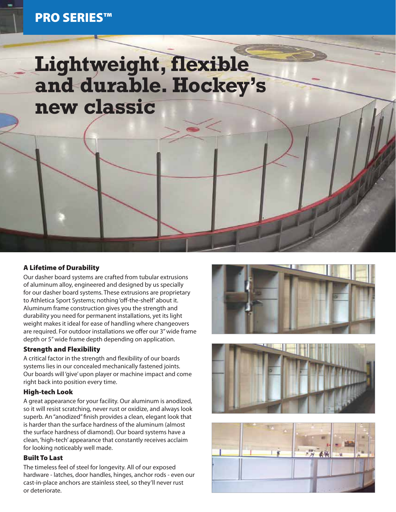# **Lightweight, flexible and durable. Hockey's new classic**

### A Lifetime of Durability

Our dasher board systems are crafted from tubular extrusions of aluminum alloy, engineered and designed by us specially for our dasher board systems. These extrusions are proprietary to Athletica Sport Systems; nothing 'off-the-shelf' about it. Aluminum frame construction gives you the strength and durability you need for permanent installations, yet its light weight makes it ideal for ease of handling where changeovers are required. For outdoor installations we offer our 3" wide frame depth or 5" wide frame depth depending on application.

#### Strength and Flexibility

A critical factor in the strength and flexibility of our boards systems lies in our concealed mechanically fastened joints. Our boards will 'give' upon player or machine impact and come right back into position every time.

#### High-tech Look

A great appearance for your facility. Our aluminum is anodized, so it will resist scratching, never rust or oxidize, and always look superb. An "anodized" finish provides a clean, elegant look that is harder than the surface hardness of the aluminum (almost the surface hardness of diamond). Our board systems have a clean, 'high-tech' appearance that constantly receives acclaim for looking noticeably well made.

#### Built To Last

The timeless feel of steel for longevity. All of our exposed hardware - latches, door handles, hinges, anchor rods - even our cast-in-place anchors are stainless steel, so they'll never rust or deteriorate.